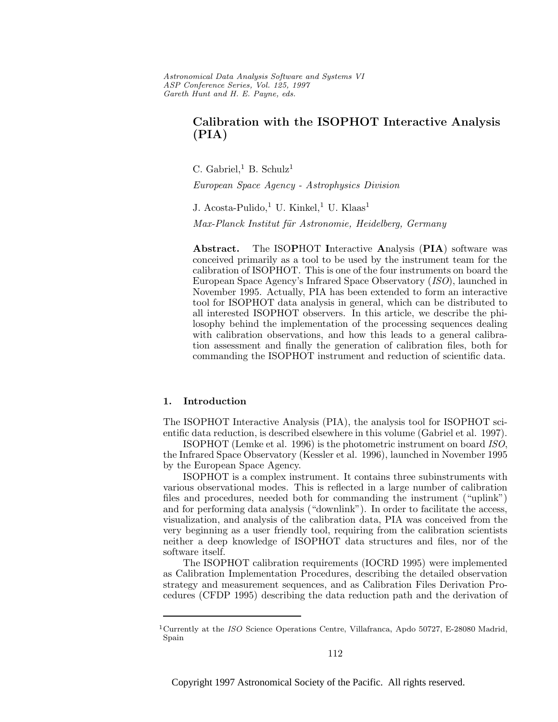Astronomical Data Analysis Software and Systems VI ASP Conference Series, Vol. 125, 1997 Gareth Hunt and H. E. Payne, e ds.

# **Calibration with the ISOPHOT Interactive Analysis (PIA)**

C. Gabriel,<sup>1</sup> B. Schulz<sup>1</sup>

European Space Agency - Astrophysics Division

J. Acosta-Pulido,<sup>1</sup> U. Kinkel,<sup>1</sup> U. Klaas<sup>1</sup> Max-Planck Institut für Astronomie, Heidelberg, Germany

**Abstract.** The ISO**P**HOT **I**nteractive **A**nalysis (**PIA**) software was conceived primarily as a tool to be used by the instrument team for the calibration of ISOPHOT. This is one of the four instruments on board the European Space Agency's Infrared Space Observatory (ISO), launched in November 1995. Actually, PIA has been extended to form an interactive tool for ISOPHOT data analysis in general, which can be distributed to all interested ISOPHOT observers. In this article, we describe the philosophy behind the implementation of the processing sequences dealing with calibration observations, and how this leads to a general calibration assessment and finally the generation of calibration files, both for commanding the ISOPHOT instrument and reduction of scientific data.

## **1. Introduction**

The ISOPHOT Interactive Analysis (PIA), the analysis tool for ISOPHOT scientific data reduction, is described elsewhere in this volume (Gabriel et al. 1997).

ISOPHOT (Lemke et al. 1996) is the photometric instrument on board ISO, the Infrared Space Observatory (Kessler et al. 1996), launched in November 1995 by the European Space Agency.

ISOPHOT is a complex instrument. It contains three subinstruments with various observational modes. This is reflected in a large number of calibration files and procedures, needed both for commanding the instrument ("uplink") and for performing data analysis ("downlink"). In order to facilitate the access, visualization, and analysis of the calibration data, PIA was conceived from the very beginning as a user friendly tool, requiring from the calibration scientists neither a deep knowledge of ISOPHOT data structures and files, nor of the software itself.

The ISOPHOT calibration requirements (IOCRD 1995) were implemented as Calibration Implementation Procedures, describing the detailed observation strategy and measurement sequences, and as Calibration Files Derivation Procedures (CFDP 1995) describing the data reduction path and the derivation of

<sup>&</sup>lt;sup>1</sup>Currently at the *ISO* Science Operations Centre, Villafranca, Apdo 50727, E-28080 Madrid, Spain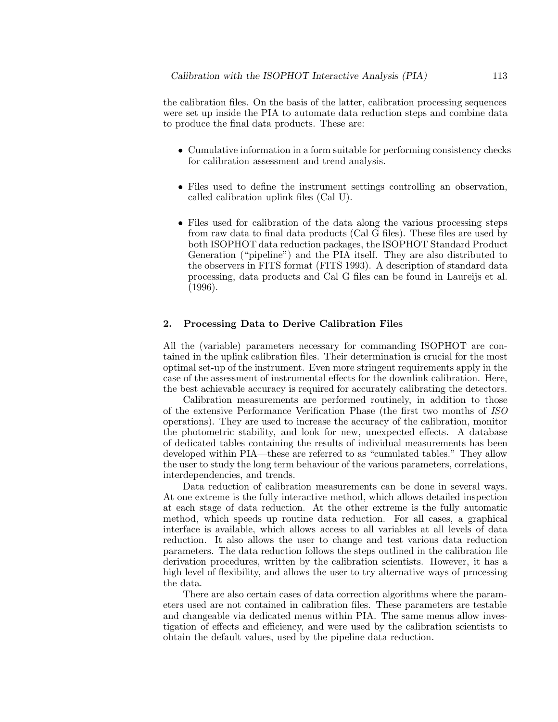the calibration files. On the basis of the latter, calibration processing sequences were set up inside the PIA to automate data reduction steps and combine data to produce the final data products. These are:

- Cumulative information in a form suitable for performing consistency checks for calibration assessment and trend analysis.
- Files used to define the instrument settings controlling an observation, called calibration uplink files (Cal U).
- Files used for calibration of the data along the various processing steps from raw data to final data products (Cal G files). These files are used by both ISOPHOT data reduction packages, the ISOPHOT Standard Product Generation ("pipeline") and the PIA itself. They are also distributed to the observers in FITS format (FITS 1993). A description of standard data processing, data products and Cal G files can be found in Laureijs et al. (1996).

## **2. Processing Data to Derive Calibration Files**

All the (variable) parameters necessary for commanding ISOPHOT are contained in the uplink calibration files. Their determination is crucial for the most optimal set-up of the instrument. Even more stringent requirements apply in the case of the assessment of instrumental effects for the downlink calibration. Here, the best achievable accuracy is required for accurately calibrating the detectors.

Calibration measurements are performed routinely, in addition to those of the extensive Performance Verification Phase (the first two months of ISO operations). They are used to increase the accuracy of the calibration, monitor the photometric stability, and look for new, unexpected effects. A database of dedicated tables containing the results of individual measurements has been developed within PIA—these are referred to as "cumulated tables." They allow the user to study the long term behaviour of the various parameters, correlations, interdependencies, and trends.

Data reduction of calibration measurements can be done in several ways. At one extreme is the fully interactive method, which allows detailed inspection at each stage of data reduction. At the other extreme is the fully automatic method, which speeds up routine data reduction. For all cases, a graphical interface is available, which allows access to all variables at all levels of data reduction. It also allows the user to change and test various data reduction parameters. The data reduction follows the steps outlined in the calibration file derivation procedures, written by the calibration scientists. However, it has a high level of flexibility, and allows the user to try alternative ways of processing the data.

There are also certain cases of data correction algorithms where the parameters used are not contained in calibration files. These parameters are testable and changeable via dedicated menus within PIA. The same menus allow investigation of effects and efficiency, and were used by the calibration scientists to obtain the default values, used by the pipeline data reduction.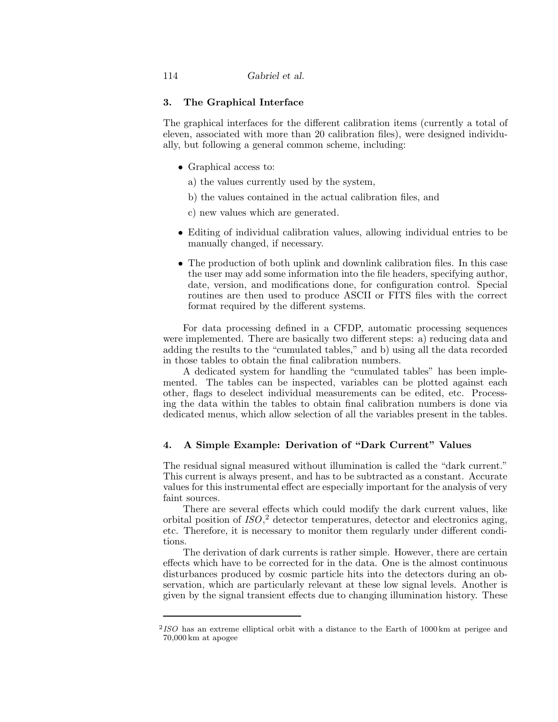## **3. The Graphical Interface**

The graphical interfaces for the different calibration items (currently a total of eleven, associated with more than 20 calibration files), were designed individually, but following a general common scheme, including:

- Graphical access to:
	- a) the values currently used by the system,
	- b) the values contained in the actual calibration files, and
	- c) new values which are generated.
- Editing of individual calibration values, allowing individual entries to be manually changed, if necessary.
- The production of both uplink and downlink calibration files. In this case the user may add some information into the file headers, specifying author, date, version, and modifications done, for configuration control. Special routines are then used to produce ASCII or FITS files with the correct format required by the different systems.

For data processing defined in a CFDP, automatic processing sequences were implemented. There are basically two different steps: a) reducing data and adding the results to the "cumulated tables," and b) using all the data recorded in those tables to obtain the final calibration numbers.

A dedicated system for handling the "cumulated tables" has been implemented. The tables can be inspected, variables can be plotted against each other, flags to deselect individual measurements can be edited, etc. Processing the data within the tables to obtain final calibration numbers is done via dedicated menus, which allow selection of all the variables present in the tables.

## **4. A Simple Example: Derivation of "Dark Current" Values**

The residual signal measured without illumination is called the "dark current." This current is always present, and has to be subtracted as a constant. Accurate values for this instrumental effect are especially important for the analysis of very faint sources.

There are several effects which could modify the dark current values, like orbital position of  $ISO$ , detector temperatures, detector and electronics aging, etc. Therefore, it is necessary to monitor them regularly under different conditions.

The derivation of dark currents is rather simple. However, there are certain effects which have to be corrected for in the data. One is the almost continuous disturbances produced by cosmic particle hits into the detectors during an observation, which are particularly relevant at these low signal levels. Another is given by the signal transient effects due to changing illumination history. These

 $^{2}$ ISO has an extreme elliptical orbit with a distance to the Earth of 1000 km at perigee and 70,000 km at apogee